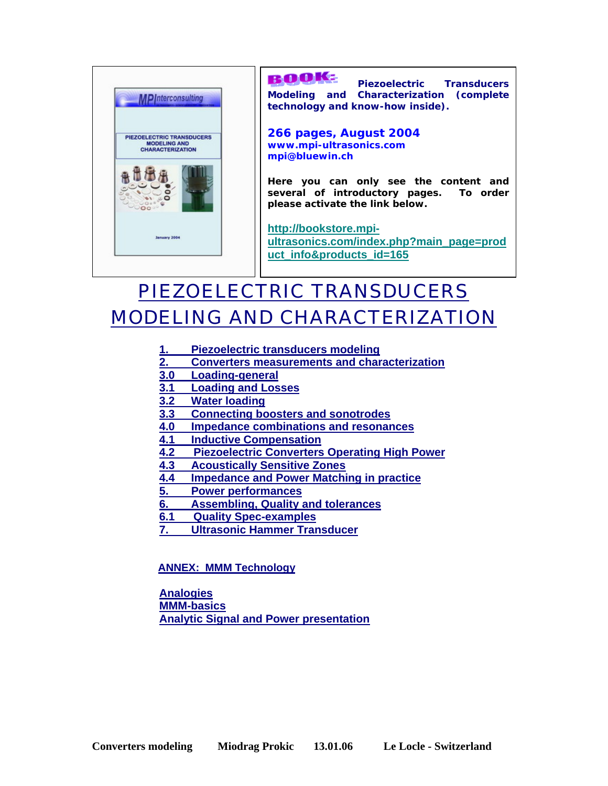

## ROOKE

**Piezoelectric Transducers Modeling and Characterization (complete technology and know-how inside).** 

**266 pages, August 2004 www.mpi-ultrasonics.com mpi@bluewin.ch** 

**Here you can only see the content and several of introductory pages. To order please activate the link below.** 

**http://bookstore.mpiultrasonics.com/index.php?main\_page=prod uct\_info&products\_id=165** 

# $\vert$ PIEZOELECTRIC TRANSDUCERS MODELING AND CHARACTERIZATION

- **1. Piezoelectric transducers modeling**
- **2. Converters measurements and characterization**
- **3.0 Loading-general**
- **3.1 Loading and Losses**
- **3.2 Water loading**
- **3.3 Connecting boosters and sonotrodes**
- **4.0 Impedance combinations and resonances**
- **4.1 Inductive Compensation**
- **4.2 Piezoelectric Converters Operating High Power**
- **4.3 Acoustically Sensitive Zones**
- **4.4 Impedance and Power Matching in practice**
- **5. Power performances**
- **6. Assembling, Quality and tolerances**
- **6.1 Quality Spec-examples**
- **7. Ultrasonic Hammer Transducer**

**ANNEX: MMM Technology** 

**Analogies MMM-basics Analytic Signal and Power presentation**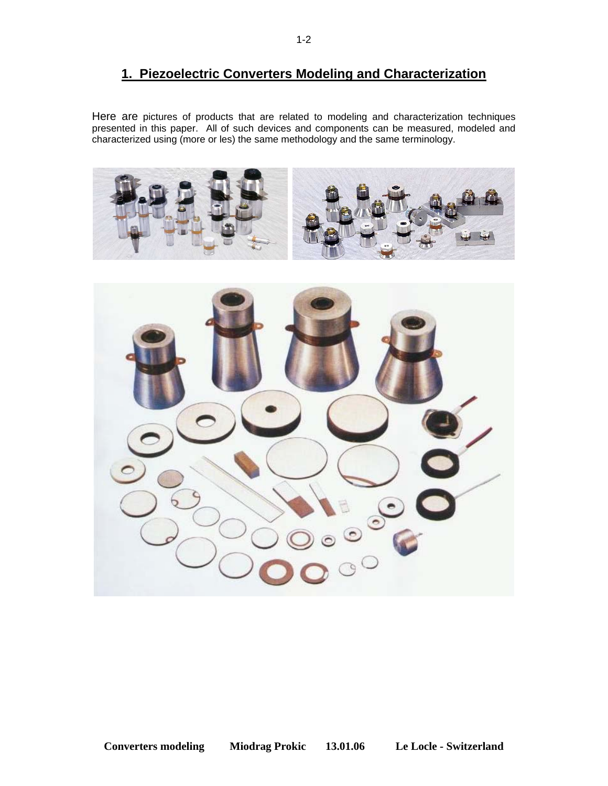# **1. Piezoelectric Converters Modeling and Characterization**

Here are pictures of products that are related to modeling and characterization techniques presented in this paper. All of such devices and components can be measured, modeled and characterized using (more or les) the same methodology and the same terminology.



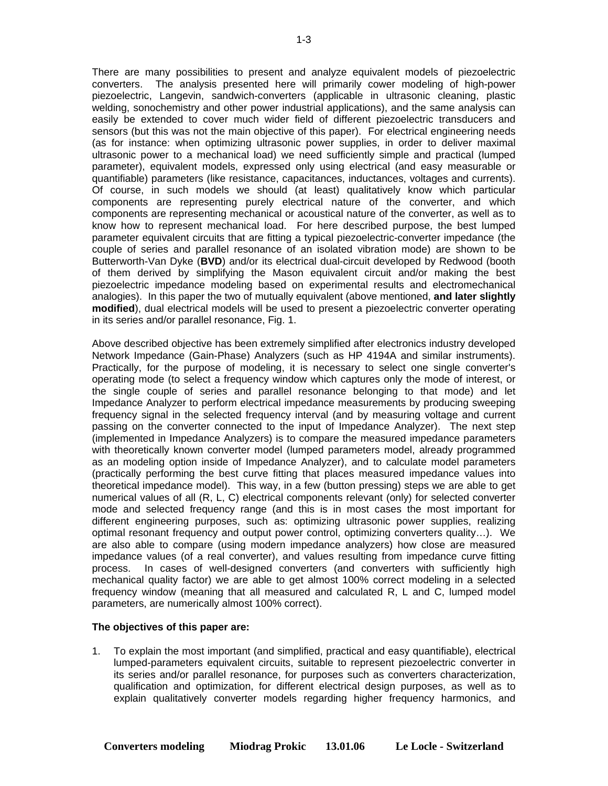There are many possibilities to present and analyze equivalent models of piezoelectric converters. The analysis presented here will primarily cower modeling of high-power piezoelectric, Langevin, sandwich-converters (applicable in ultrasonic cleaning, plastic welding, sonochemistry and other power industrial applications), and the same analysis can easily be extended to cover much wider field of different piezoelectric transducers and sensors (but this was not the main objective of this paper). For electrical engineering needs (as for instance: when optimizing ultrasonic power supplies, in order to deliver maximal ultrasonic power to a mechanical load) we need sufficiently simple and practical (lumped parameter), equivalent models, expressed only using electrical (and easy measurable or quantifiable) parameters (like resistance, capacitances, inductances, voltages and currents). Of course, in such models we should (at least) qualitatively know which particular components are representing purely electrical nature of the converter, and which components are representing mechanical or acoustical nature of the converter, as well as to know how to represent mechanical load. For here described purpose, the best lumped parameter equivalent circuits that are fitting a typical piezoelectric-converter impedance (the couple of series and parallel resonance of an isolated vibration mode) are shown to be Butterworth-Van Dyke (**BVD**) and/or its electrical dual-circuit developed by Redwood (booth of them derived by simplifying the Mason equivalent circuit and/or making the best piezoelectric impedance modeling based on experimental results and electromechanical analogies). In this paper the two of mutually equivalent (above mentioned, **and later slightly modified**), dual electrical models will be used to present a piezoelectric converter operating in its series and/or parallel resonance, Fig. 1.

Above described objective has been extremely simplified after electronics industry developed Network Impedance (Gain-Phase) Analyzers (such as HP 4194A and similar instruments). Practically, for the purpose of modeling, it is necessary to select one single converter's operating mode (to select a frequency window which captures only the mode of interest, or the single couple of series and parallel resonance belonging to that mode) and let Impedance Analyzer to perform electrical impedance measurements by producing sweeping frequency signal in the selected frequency interval (and by measuring voltage and current passing on the converter connected to the input of Impedance Analyzer). The next step (implemented in Impedance Analyzers) is to compare the measured impedance parameters with theoretically known converter model (lumped parameters model, already programmed as an modeling option inside of Impedance Analyzer), and to calculate model parameters (practically performing the best curve fitting that places measured impedance values into theoretical impedance model). This way, in a few (button pressing) steps we are able to get numerical values of all (R, L, C) electrical components relevant (only) for selected converter mode and selected frequency range (and this is in most cases the most important for different engineering purposes, such as: optimizing ultrasonic power supplies, realizing optimal resonant frequency and output power control, optimizing converters quality…). We are also able to compare (using modern impedance analyzers) how close are measured impedance values (of a real converter), and values resulting from impedance curve fitting process. In cases of well-designed converters (and converters with sufficiently high mechanical quality factor) we are able to get almost 100% correct modeling in a selected frequency window (meaning that all measured and calculated R, L and C, lumped model parameters, are numerically almost 100% correct).

#### **The objectives of this paper are:**

1. To explain the most important (and simplified, practical and easy quantifiable), electrical lumped-parameters equivalent circuits, suitable to represent piezoelectric converter in its series and/or parallel resonance, for purposes such as converters characterization, qualification and optimization, for different electrical design purposes, as well as to explain qualitatively converter models regarding higher frequency harmonics, and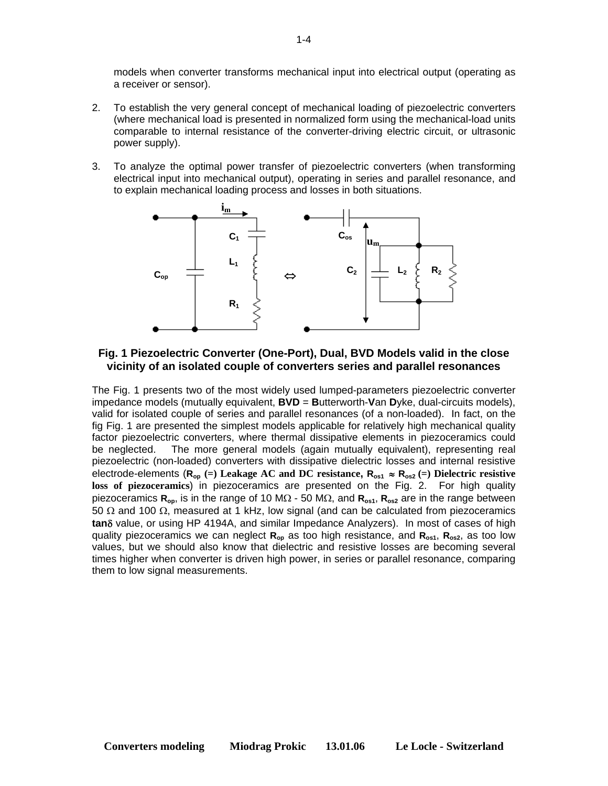models when converter transforms mechanical input into electrical output (operating as a receiver or sensor).

- 2. To establish the very general concept of mechanical loading of piezoelectric converters (where mechanical load is presented in normalized form using the mechanical-load units comparable to internal resistance of the converter-driving electric circuit, or ultrasonic power supply).
- 3. To analyze the optimal power transfer of piezoelectric converters (when transforming electrical input into mechanical output), operating in series and parallel resonance, and to explain mechanical loading process and losses in both situations.



### **Fig. 1 Piezoelectric Converter (One-Port), Dual, BVD Models valid in the close vicinity of an isolated couple of converters series and parallel resonances**

The Fig. 1 presents two of the most widely used lumped-parameters piezoelectric converter impedance models (mutually equivalent, **BVD** = **B**utterworth-**V**an **D**yke, dual-circuits models), valid for isolated couple of series and parallel resonances (of a non-loaded). In fact, on the fig Fig. 1 are presented the simplest models applicable for relatively high mechanical quality factor piezoelectric converters, where thermal dissipative elements in piezoceramics could be neglected. The more general models (again mutually equivalent), representing real piezoelectric (non-loaded) converters with dissipative dielectric losses and internal resistive electrode-elements ( $R_{op}$  (=) Leakage AC and DC resistance,  $R_{os1} \approx R_{os2}$  (=) Dielectric resistive **loss of piezoceramics**) in piezoceramics are presented on the Fig. 2. For high quality piezoceramics **Rop**, is in the range of 10 MΩ - 50 MΩ, and **Ros1**, **Ros2** are in the range between 50 Ω and 100  $Ω$ , measured at 1 kHz, low signal (and can be calculated from piezoceramics **tan**δ value, or using HP 4194A, and similar Impedance Analyzers). In most of cases of high quality piezoceramics we can neglect **Rop** as too high resistance, and **Ros1**, **Ros2**, as too low values, but we should also know that dielectric and resistive losses are becoming several times higher when converter is driven high power, in series or parallel resonance, comparing them to low signal measurements.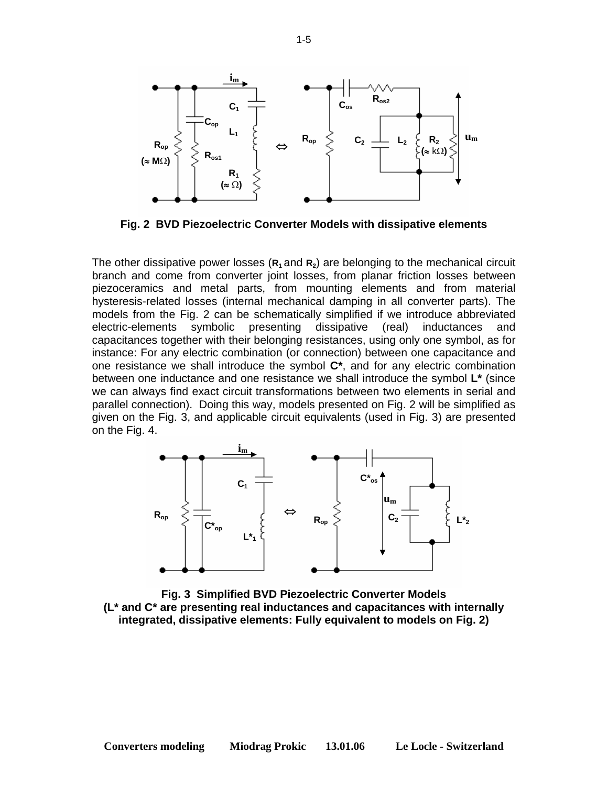

**Fig. 2 BVD Piezoelectric Converter Models with dissipative elements** 

The other dissipative power losses ( $\mathbf{R}_1$  and  $\mathbf{R}_2$ ) are belonging to the mechanical circuit branch and come from converter joint losses, from planar friction losses between piezoceramics and metal parts, from mounting elements and from material hysteresis-related losses (internal mechanical damping in all converter parts). The models from the Fig. 2 can be schematically simplified if we introduce abbreviated electric-elements symbolic presenting dissipative (real) inductances and capacitances together with their belonging resistances, using only one symbol, as for instance: For any electric combination (or connection) between one capacitance and one resistance we shall introduce the symbol **C\***, and for any electric combination between one inductance and one resistance we shall introduce the symbol **L\*** (since we can always find exact circuit transformations between two elements in serial and parallel connection). Doing this way, models presented on Fig. 2 will be simplified as given on the Fig. 3, and applicable circuit equivalents (used in Fig. 3) are presented on the Fig. 4.



**Fig. 3 Simplified BVD Piezoelectric Converter Models (L\* and C\* are presenting real inductances and capacitances with internally integrated, dissipative elements: Fully equivalent to models on Fig. 2)**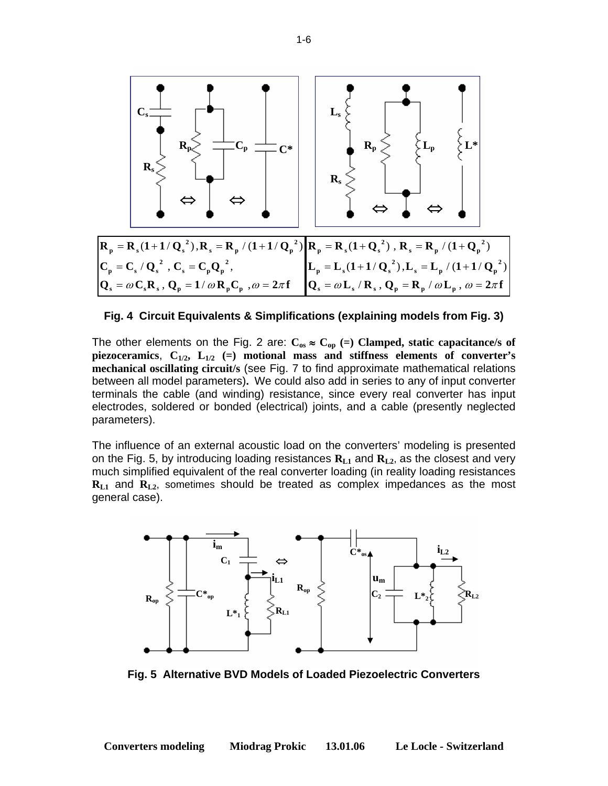

**Fig. 4 Circuit Equivalents & Simplifications (explaining models from Fig. 3)** 

The other elements on the Fig. 2 are:  $C_{os} \approx C_{op}$  (=) Clamped, static capacitance/s of **piezoceramics**, **C1/2, L1/2 (=) motional mass and stiffness elements of converter's mechanical oscillating circuit/s** (see Fig. 7 to find approximate mathematical relations between all model parameters)**.** We could also add in series to any of input converter terminals the cable (and winding) resistance, since every real converter has input electrodes, soldered or bonded (electrical) joints, and a cable (presently neglected parameters).

The influence of an external acoustic load on the converters' modeling is presented on the Fig. 5, by introducing loading resistances  $\mathbf{R}_{L1}$  and  $\mathbf{R}_{L2}$ , as the closest and very much simplified equivalent of the real converter loading (in reality loading resistances **R**<sub>L1</sub> and **R**<sub>L2</sub>, sometimes should be treated as complex impedances as the most general case).



**Fig. 5 Alternative BVD Models of Loaded Piezoelectric Converters**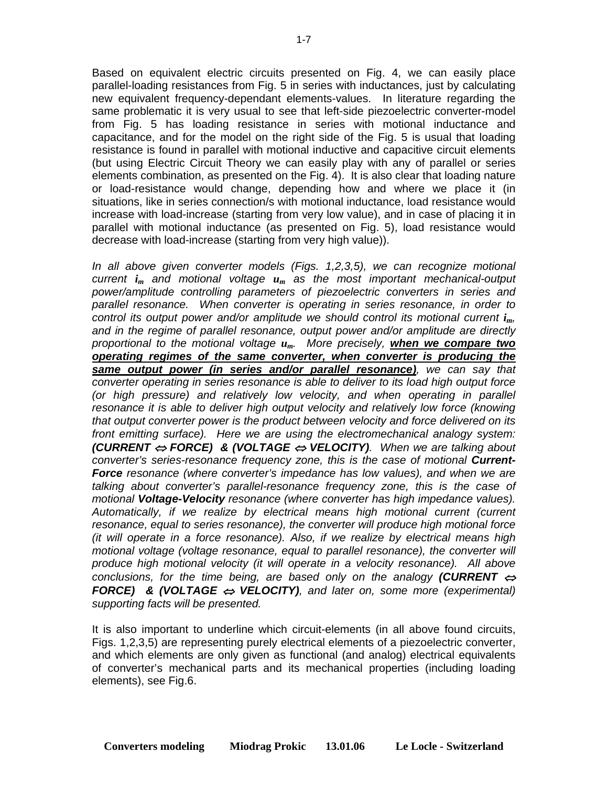Based on equivalent electric circuits presented on Fig. 4, we can easily place parallel-loading resistances from Fig. 5 in series with inductances, just by calculating new equivalent frequency-dependant elements-values. In literature regarding the same problematic it is very usual to see that left-side piezoelectric converter-model from Fig. 5 has loading resistance in series with motional inductance and capacitance, and for the model on the right side of the Fig. 5 is usual that loading resistance is found in parallel with motional inductive and capacitive circuit elements (but using Electric Circuit Theory we can easily play with any of parallel or series elements combination, as presented on the Fig. 4). It is also clear that loading nature or load-resistance would change, depending how and where we place it (in situations, like in series connection/s with motional inductance, load resistance would increase with load-increase (starting from very low value), and in case of placing it in parallel with motional inductance (as presented on Fig. 5), load resistance would decrease with load-increase (starting from very high value)).

*In all above given converter models (Figs. 1,2,3,5), we can recognize motional current im and motional voltage um as the most important mechanical-output power/amplitude controlling parameters of piezoelectric converters in series and parallel resonance. When converter is operating in series resonance, in order to control its output power and/or amplitude we should control its motional current*  $i_m$ *, and in the regime of parallel resonance, output power and/or amplitude are directly proportional to the motional voltage um. More precisely, when we compare two operating regimes of the same converter, when converter is producing the same output power (in series and/or parallel resonance), we can say that converter operating in series resonance is able to deliver to its load high output force (or high pressure) and relatively low velocity, and when operating in parallel resonance it is able to deliver high output velocity and relatively low force (knowing that output converter power is the product between velocity and force delivered on its front emitting surface). Here we are using the electromechanical analogy system: (CURRENT* ⇔ *FORCE) & (VOLTAGE* ⇔ *VELOCITY). When we are talking about converter's series-resonance frequency zone, this is the case of motional Current-Force resonance (where converter's impedance has low values), and when we are talking about converter's parallel-resonance frequency zone, this is the case of motional Voltage-Velocity resonance (where converter has high impedance values). Automatically, if we realize by electrical means high motional current (current resonance, equal to series resonance), the converter will produce high motional force (it will operate in a force resonance). Also, if we realize by electrical means high motional voltage (voltage resonance, equal to parallel resonance), the converter will produce high motional velocity (it will operate in a velocity resonance). All above conclusions, for the time being, are based only on the analogy (CURRENT*  $\Leftrightarrow$ *FORCE) & (VOLTAGE* ⇔ *VELOCITY), and later on, some more (experimental) supporting facts will be presented.* 

It is also important to underline which circuit-elements (in all above found circuits, Figs. 1,2,3,5) are representing purely electrical elements of a piezoelectric converter, and which elements are only given as functional (and analog) electrical equivalents of converter's mechanical parts and its mechanical properties (including loading elements), see Fig.6.